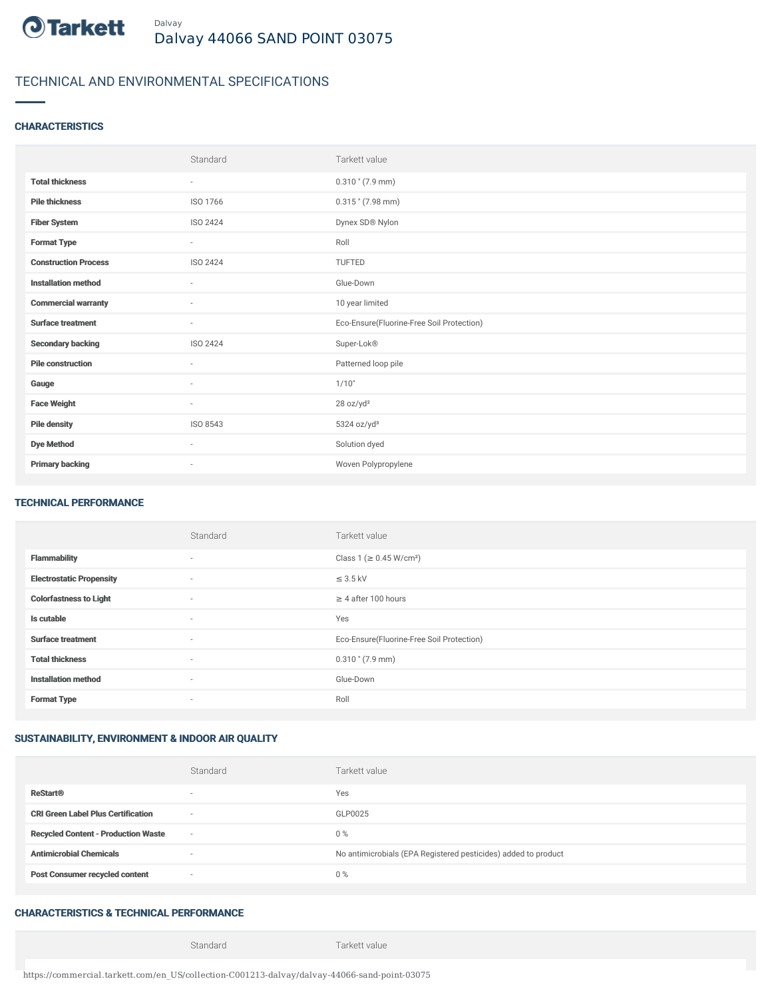

# TECHNICAL AND ENVIRONMENTAL SPECIFICATIONS

### **CHARACTERISTICS**

|                             | Standard                 | Tarkett value                             |
|-----------------------------|--------------------------|-------------------------------------------|
| <b>Total thickness</b>      | ٠                        | $0.310$ " (7.9 mm)                        |
| <b>Pile thickness</b>       | ISO 1766                 | $0.315$ " (7.98 mm)                       |
| <b>Fiber System</b>         | ISO 2424                 | Dynex SD® Nylon                           |
| <b>Format Type</b>          | ٠                        | Roll                                      |
| <b>Construction Process</b> | ISO 2424                 | TUFTED                                    |
| <b>Installation method</b>  | $\overline{\phantom{a}}$ | Glue-Down                                 |
| <b>Commercial warranty</b>  | $\sim$                   | 10 year limited                           |
| <b>Surface treatment</b>    | ٠                        | Eco-Ensure(Fluorine-Free Soil Protection) |
| <b>Secondary backing</b>    | ISO 2424                 | Super-Lok®                                |
| <b>Pile construction</b>    | ×                        | Patterned loop pile                       |
| Gauge                       | $\sim$                   | 1/10"                                     |
| <b>Face Weight</b>          | $\overline{\phantom{a}}$ | 28 oz/yd <sup>2</sup>                     |
| <b>Pile density</b>         | ISO 8543                 | 5324 oz/yd <sup>3</sup>                   |
| <b>Dye Method</b>           | ٠                        | Solution dyed                             |
| <b>Primary backing</b>      | ٠                        | Woven Polypropylene                       |

#### TECHNICAL PERFORMANCE

|                                 | Standard       | Tarkett value                             |
|---------------------------------|----------------|-------------------------------------------|
| <b>Flammability</b>             | $\sim$         | Class 1 (≥ 0.45 W/cm <sup>2</sup> )       |
| <b>Electrostatic Propensity</b> | $\overline{a}$ | $\leq$ 3.5 kV                             |
| <b>Colorfastness to Light</b>   | $\sim$         | $\geq$ 4 after 100 hours                  |
| Is cutable                      | $\sim$         | Yes                                       |
| <b>Surface treatment</b>        | $\sim$         | Eco-Ensure(Fluorine-Free Soil Protection) |
| <b>Total thickness</b>          | $\sim$         | $0.310$ " (7.9 mm)                        |
| <b>Installation method</b>      | $\sim$         | Glue-Down                                 |
| <b>Format Type</b>              | $\sim$         | Roll                                      |

## SUSTAINABILITY, ENVIRONMENT & INDOOR AIR QUALITY

|                                            | Standard                 | Tarkett value                                                  |
|--------------------------------------------|--------------------------|----------------------------------------------------------------|
| <b>ReStart®</b>                            | $\overline{\phantom{a}}$ | Yes                                                            |
| <b>CRI Green Label Plus Certification</b>  | $\sim$                   | GLP0025                                                        |
| <b>Recycled Content - Production Waste</b> | $\sim$                   | 0%                                                             |
| <b>Antimicrobial Chemicals</b>             |                          | No antimicrobials (EPA Registered pesticides) added to product |
| <b>Post Consumer recycled content</b>      | $\sim$                   | $0\%$                                                          |
|                                            |                          |                                                                |

# CHARACTERISTICS & TECHNICAL PERFORMANCE

Standard Tarkett value